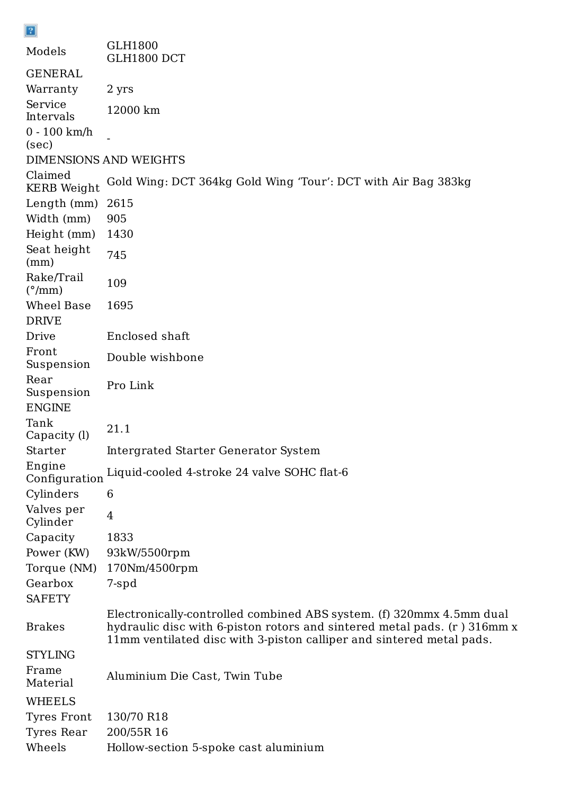| Models                               | <b>GLH1800</b><br>GLH1800 DCT                                 |
|--------------------------------------|---------------------------------------------------------------|
| GENERAL                              |                                                               |
| Warranty                             | 2 yrs                                                         |
| Service<br>Intervals                 | 12000 km                                                      |
| $0 - 100$ km/h<br>(sec)              |                                                               |
|                                      | <b>DIMENSIONS AND WEIGHTS</b>                                 |
| Claimed<br><b>KERB</b> Weight        | Gold Wing: DCT 364kg Gold Wing 'Tour': DCT with Air Bag 383kg |
| Length (mm)                          | 2615                                                          |
| Width (mm)                           | 905                                                           |
| Height (mm)                          | 1430                                                          |
| Seat height<br>(mm)                  | 745                                                           |
| Rake/Trail<br>$(^{\circ}/\text{mm})$ | 109                                                           |
| Wheel Base                           | 1695                                                          |
| <b>DRIVE</b>                         |                                                               |
| Drive                                | Enclosed shaft                                                |
| Front<br>Suspension                  | Double wishbone                                               |
| Rear<br>Suspension<br><b>ENGINE</b>  | Pro Link                                                      |
| Tank<br>Capacity (l)                 | 21.1                                                          |
| Starter                              | Intergrated Starter Generator System                          |
| Engine<br>Configuration              | Liquid-cooled 4-stroke 24 valve SOHC flat-6                   |
| Cylinders                            | 6                                                             |
| Valves per<br>Cylinder               | $\overline{4}$                                                |
| Capacity                             | 1833                                                          |
| Power (KW)                           | 93kW/5500rpm                                                  |
| Torque (NM)                          | 170Nm/4500rpm                                                 |
| Gearbox                              | 7-spd                                                         |
|                                      |                                                               |

Electronically-controlled combined ABS system. (f) 320mmx 4.5mm dual hydraulic disc with 6-piston rotors and sintered metal pads. (r ) 316mm x 11mm ventilated disc with 3-piston calliper and sintered metal pads.

SAFETY

Brakes

 $\boxed{2}$ 

STYLING

Frame Material Aluminium Die Cast, Twin Tube

WHEELS

Tyres Front 130/70 R18

Tyres Rear 200/55R 16

Wheels Hollow-section 5-spoke cast aluminium